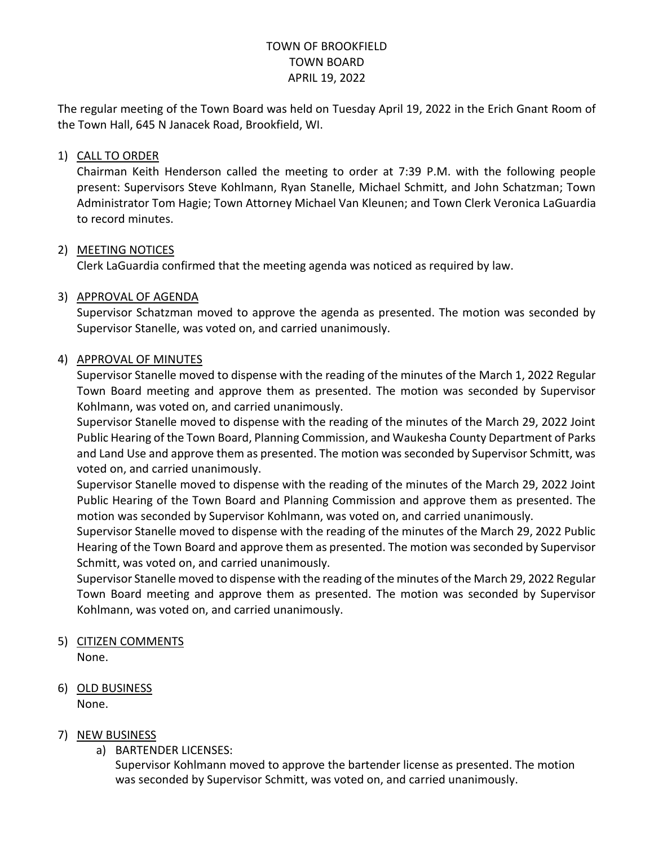# TOWN OF BROOKFIELD TOWN BOARD APRIL 19, 2022

The regular meeting of the Town Board was held on Tuesday April 19, 2022 in the Erich Gnant Room of the Town Hall, 645 N Janacek Road, Brookfield, WI.

## 1) CALL TO ORDER

Chairman Keith Henderson called the meeting to order at 7:39 P.M. with the following people present: Supervisors Steve Kohlmann, Ryan Stanelle, Michael Schmitt, and John Schatzman; Town Administrator Tom Hagie; Town Attorney Michael Van Kleunen; and Town Clerk Veronica LaGuardia to record minutes.

#### 2) MEETING NOTICES

Clerk LaGuardia confirmed that the meeting agenda was noticed as required by law.

#### 3) APPROVAL OF AGENDA

Supervisor Schatzman moved to approve the agenda as presented. The motion was seconded by Supervisor Stanelle, was voted on, and carried unanimously.

#### 4) APPROVAL OF MINUTES

Supervisor Stanelle moved to dispense with the reading of the minutes of the March 1, 2022 Regular Town Board meeting and approve them as presented. The motion was seconded by Supervisor Kohlmann, was voted on, and carried unanimously.

Supervisor Stanelle moved to dispense with the reading of the minutes of the March 29, 2022 Joint Public Hearing of the Town Board, Planning Commission, and Waukesha County Department of Parks and Land Use and approve them as presented. The motion was seconded by Supervisor Schmitt, was voted on, and carried unanimously.

Supervisor Stanelle moved to dispense with the reading of the minutes of the March 29, 2022 Joint Public Hearing of the Town Board and Planning Commission and approve them as presented. The motion was seconded by Supervisor Kohlmann, was voted on, and carried unanimously.

Supervisor Stanelle moved to dispense with the reading of the minutes of the March 29, 2022 Public Hearing of the Town Board and approve them as presented. The motion was seconded by Supervisor Schmitt, was voted on, and carried unanimously.

Supervisor Stanelle moved to dispense with the reading of the minutes of the March 29, 2022 Regular Town Board meeting and approve them as presented. The motion was seconded by Supervisor Kohlmann, was voted on, and carried unanimously.

# 5) CITIZEN COMMENTS

None.

#### 6) OLD BUSINESS None.

# 7) NEW BUSINESS

# a) BARTENDER LICENSES:

Supervisor Kohlmann moved to approve the bartender license as presented. The motion was seconded by Supervisor Schmitt, was voted on, and carried unanimously.